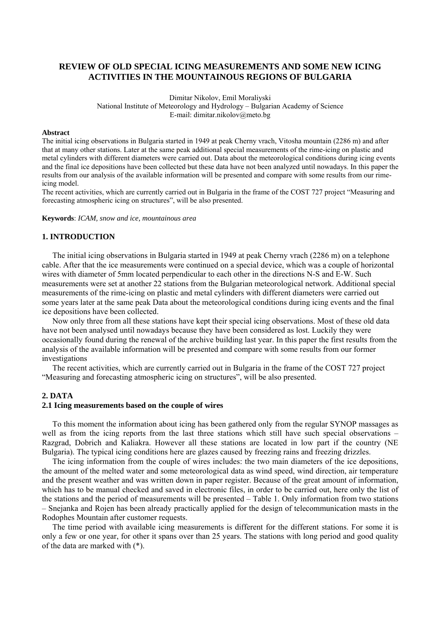# **REVIEW OF OLD SPECIAL ICING MEASUREMENTS AND SOME NEW ICING ACTIVITIES IN THE MOUNTAINOUS REGIONS OF BULGARIA**

Dimitar Nikolov, Emil Moraliyski National Institute of Meteorology and Hydrology – Bulgarian Academy of Science E-mail: dimitar.nikolov@meto.bg

#### **Abstract**

The initial icing observations in Bulgaria started in 1949 at peak Cherny vrach, Vitosha mountain (2286 m) and after that at many other stations. Later at the same peak additional special measurements of the rime-icing on plastic and metal cylinders with different diameters were carried out. Data about the meteorological conditions during icing events and the final ice depositions have been collected but these data have not been analyzed until nowadays. In this paper the results from our analysis of the available information will be presented and compare with some results from our rimeicing model.

The recent activities, which are currently carried out in Bulgaria in the frame of the COST 727 project "Measuring and forecasting atmospheric icing on structures", will be also presented.

### **Keywords**: *ICAM, snow and ice, mountainous area*

### **1. INTRODUCTION**

The initial icing observations in Bulgaria started in 1949 at peak Cherny vrach (2286 m) on a telephone cable. After that the ice measurements were continued on a special device, which was a couple of horizontal wires with diameter of 5mm located perpendicular to each other in the directions N-S and E-W. Such measurements were set at another 22 stations from the Bulgarian meteorological network. Additional special measurements of the rime-icing on plastic and metal cylinders with different diameters were carried out some years later at the same peak Data about the meteorological conditions during icing events and the final ice depositions have been collected.

Now only three from all these stations have kept their special icing observations. Most of these old data have not been analysed until nowadays because they have been considered as lost. Luckily they were occasionally found during the renewal of the archive building last year. In this paper the first results from the analysis of the available information will be presented and compare with some results from our former investigations

The recent activities, which are currently carried out in Bulgaria in the frame of the COST 727 project "Measuring and forecasting atmospheric icing on structures", will be also presented.

# **2. DATA**

# **2.1 Icing measurements based on the couple of wires**

To this moment the information about icing has been gathered only from the regular SYNOP massages as well as from the icing reports from the last three stations which still have such special observations – Razgrad, Dobrich and Kaliakra. However all these stations are located in low part if the country (NE Bulgaria). The typical icing conditions here are glazes caused by freezing rains and freezing drizzles.

The icing information from the couple of wires includes: the two main diameters of the ice depositions, the amount of the melted water and some meteorological data as wind speed, wind direction, air temperature and the present weather and was written down in paper register. Because of the great amount of information, which has to be manual checked and saved in electronic files, in order to be carried out, here only the list of the stations and the period of measurements will be presented – Table 1. Only information from two stations – Snejanka and Rojen has been already practically applied for the design of telecommunication masts in the Rodophes Mountain after customer requests.

The time period with available icing measurements is different for the different stations. For some it is only a few or one year, for other it spans over than 25 years. The stations with long period and good quality of the data are marked with (\*).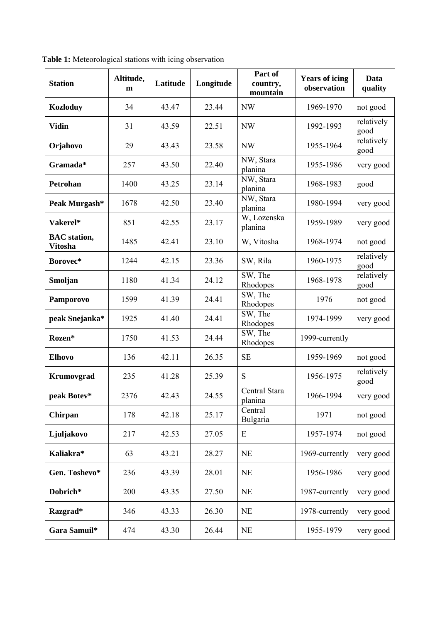| <b>Station</b>                        | Altitude,<br>m | Latitude | Longitude | Part of<br>country,<br>mountain | <b>Years of icing</b><br>observation | Data<br>quality    |
|---------------------------------------|----------------|----------|-----------|---------------------------------|--------------------------------------|--------------------|
| <b>Kozloduy</b>                       | 34             | 43.47    | 23.44     | <b>NW</b>                       | 1969-1970                            | not good           |
| <b>Vidin</b>                          | 31             | 43.59    | 22.51     | <b>NW</b>                       | 1992-1993                            | relatively<br>good |
| Orjahovo                              | 29             | 43.43    | 23.58     | NW                              | 1955-1964                            | relatively<br>good |
| Gramada*                              | 257            | 43.50    | 22.40     | NW, Stara<br>planina            | 1955-1986                            | very good          |
| Petrohan                              | 1400           | 43.25    | 23.14     | NW, Stara<br>planina            | 1968-1983                            | good               |
| Peak Murgash*                         | 1678           | 42.50    | 23.40     | NW, Stara<br>planina            | 1980-1994                            | very good          |
| Vakerel*                              | 851            | 42.55    | 23.17     | W, Lozenska<br>planina          | 1959-1989                            | very good          |
| <b>BAC</b> station,<br><b>Vitosha</b> | 1485           | 42.41    | 23.10     | W, Vitosha                      | 1968-1974                            | not good           |
| Borovec*                              | 1244           | 42.15    | 23.36     | SW, Rila                        | 1960-1975                            | relatively<br>good |
| Smoljan                               | 1180           | 41.34    | 24.12     | SW, The<br>Rhodopes             | 1968-1978                            | relatively<br>good |
| Pamporovo                             | 1599           | 41.39    | 24.41     | SW, The<br>Rhodopes             | 1976                                 | not good           |
| peak Snejanka*                        | 1925           | 41.40    | 24.41     | SW, The<br>Rhodopes             | 1974-1999                            | very good          |
| Rozen*                                | 1750           | 41.53    | 24.44     | SW, The<br>Rhodopes             | 1999-currently                       |                    |
| <b>Elhovo</b>                         | 136            | 42.11    | 26.35     | <b>SE</b>                       | 1959-1969                            | not good           |
| Krumovgrad                            | 235            | 41.28    | 25.39     | S                               | 1956-1975                            | relatively<br>good |
| peak Botev*                           | 2376           | 42.43    | 24.55     | Central Stara<br>planina        | 1966-1994                            | very good          |
| Chirpan                               | 178            | 42.18    | 25.17     | Central<br><b>Bulgaria</b>      | 1971                                 | not good           |
| Ljuljakovo                            | 217            | 42.53    | 27.05     | E                               | 1957-1974                            | not good           |
| Kaliakra*                             | 63             | 43.21    | 28.27     | NE                              | 1969-currently                       | very good          |
| Gen. Toshevo*                         | 236            | 43.39    | 28.01     | NE                              | 1956-1986                            | very good          |
| Dobrich*                              | 200            | 43.35    | 27.50     | NE                              | 1987-currently                       | very good          |
| Razgrad*                              | 346            | 43.33    | 26.30     | NE                              | 1978-currently                       | very good          |
| Gara Samuil*                          | 474            | 43.30    | 26.44     | NE                              | 1955-1979                            | very good          |

**Table 1:** Meteorological stations with icing observation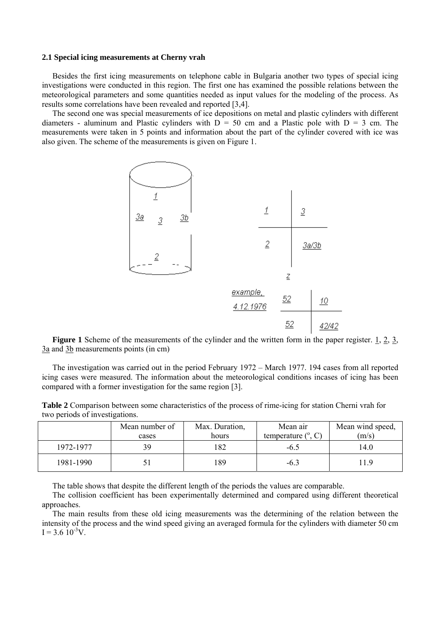### **2.1 Special icing measurements at Cherny vrah**

Besides the first icing measurements on telephone cable in Bulgaria another two types of special icing investigations were conducted in this region. The first one has examined the possible relations between the meteorological parameters and some quantities needed as input values for the modeling of the process. As results some correlations have been revealed and reported [3,4].

The second one was special measurements of ice depositions on metal and plastic cylinders with different diameters - aluminum and Plastic cylinders with  $D = 50$  cm and a Plastic pole with  $D = 3$  cm. The measurements were taken in 5 points and information about the part of the cylinder covered with ice was also given. The scheme of the measurements is given on Figure 1.



**Figure 1** Scheme of the measurements of the cylinder and the written form in the paper register. 1, 2, 3, 3a and 3b measurements points (in cm)

The investigation was carried out in the period February 1972 – March 1977. 194 cases from all reported icing cases were measured. The information about the meteorological conditions incases of icing has been compared with a former investigation for the same region [3].

**Table 2** Comparison between some characteristics of the process of rime-icing for station Cherni vrah for two periods of investigations.

|           | Mean number of<br>cases | Max. Duration,<br>hours | Mean air<br>temperature $(^\circ, C)$ | Mean wind speed,<br>(m/s) |
|-----------|-------------------------|-------------------------|---------------------------------------|---------------------------|
| 1972-1977 | 39                      |                         | $-6.5$                                | 14.0                      |
| 1981-1990 |                         | 89                      | $-6.3$                                | 11.9                      |

The table shows that despite the different length of the periods the values are comparable.

The collision coefficient has been experimentally determined and compared using different theoretical approaches.

The main results from these old icing measurements was the determining of the relation between the intensity of the process and the wind speed giving an averaged formula for the cylinders with diameter 50 cm  $I = 3.6 \, 10^{-3} V$ .